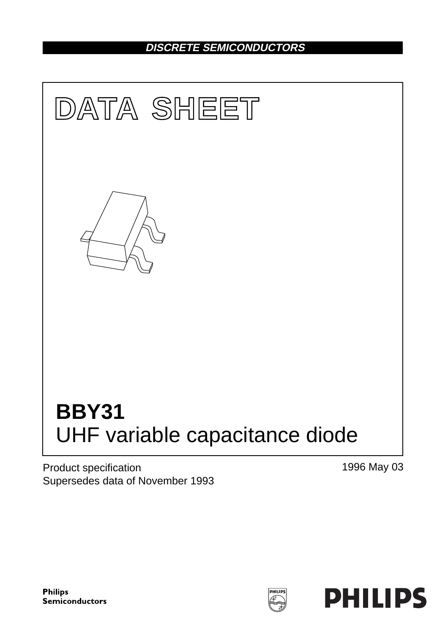# **DISCRETE SEMICONDUCTORS**



Product specification Supersedes data of November 1993 1996 May 03



PHILIPS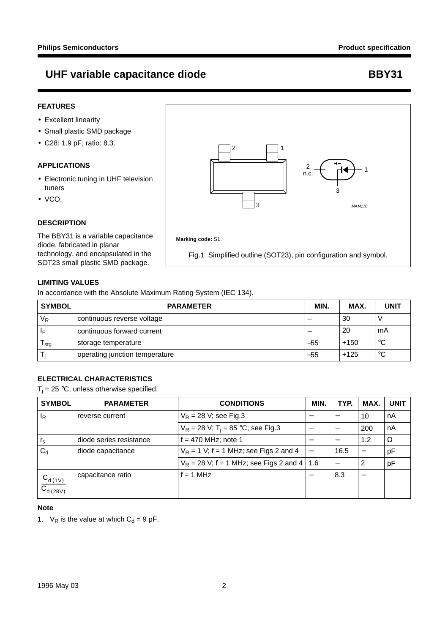# UHF variable capacitance diode and a set of the BBY31

## **FEATURES**

- Excellent linearity
- Small plastic SMD package
- C28: 1.9 pF; ratio: 8.3.

## **APPLICATIONS**

- Electronic tuning in UHF television tuners
- VCO.

## **DESCRIPTION**

The BBY31 is a variable capacitance diode, fabricated in planar technology, and encapsulated in the SOT23 small plastic SMD package.



Fig.1 Simplified outline (SOT23), pin configuration and symbol.

## **LIMITING VALUES**

In accordance with the Absolute Maximum Rating System (IEC 134).

| <b>SYMBOL</b>    | <b>PARAMETER</b>               | MIN.  | MAX.   | <b>UNIT</b> |
|------------------|--------------------------------|-------|--------|-------------|
| $V_R$            | continuous reverse voltage     |       | 30     |             |
| ١F               | continuous forward current     |       | 20     | mA          |
| <sup>I</sup> sta | storage temperature            | $-55$ | $+150$ | °C          |
|                  | operating junction temperature | $-55$ | $+125$ | °C          |

# **ELECTRICAL CHARACTERISTICS**

 $T_j = 25 °C$ ; unless otherwise specified.

| <b>SYMBOL</b>                  | <b>PARAMETER</b>        | <b>CONDITIONS</b>                                | MIN. | TYP. | MAX. | <b>UNIT</b> |
|--------------------------------|-------------------------|--------------------------------------------------|------|------|------|-------------|
| ΙŖ                             | reverse current         | $V_R$ = 28 V; see Fig.3                          |      |      | 10   | nA          |
|                                |                         | $V_R = 28 V$ ; T <sub>i</sub> = 85 °C; see Fig.3 |      |      | 200  | nA          |
| $r_{\rm s}$                    | diode series resistance | $f = 470$ MHz; note 1                            |      |      | 1.2  | $\Omega$    |
| $C_{\rm d}$                    | diode capacitance       | $V_R$ = 1 V; f = 1 MHz; see Figs 2 and 4         |      | 16.5 |      | pF          |
|                                |                         | $V_R$ = 28 V; f = 1 MHz; see Figs 2 and 4   1.6  |      |      | . 2  | pF          |
| $\frac{C_{d(1V)}}{C_{d(28V)}}$ | capacitance ratio       | $f = 1$ MHz                                      |      | 8.3  |      |             |

### **Note**

1.  $V_R$  is the value at which  $C_d = 9$  pF.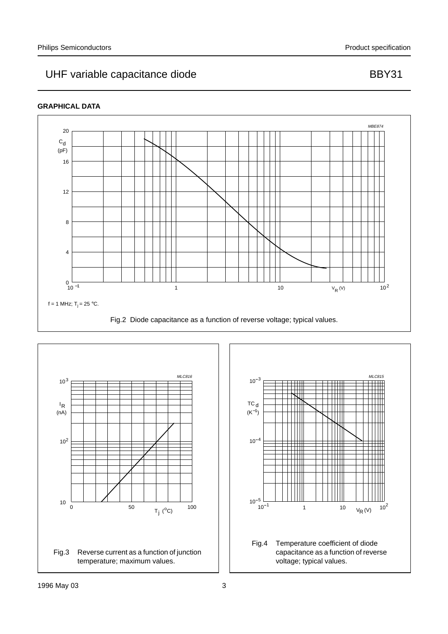# UHF variable capacitance diode BBY31

## **GRAPHICAL DATA**